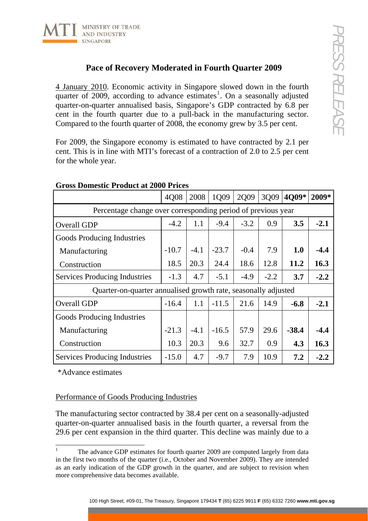

## **Pace of Recovery Moderated in Fourth Quarter 2009**

| MINISTRY OF TRADE<br>ND INDUSTRY<br>SINGAPORE                                                                                                                                                                                                                                                                                                                                                                |         |        |                 |        |        |         |        |
|--------------------------------------------------------------------------------------------------------------------------------------------------------------------------------------------------------------------------------------------------------------------------------------------------------------------------------------------------------------------------------------------------------------|---------|--------|-----------------|--------|--------|---------|--------|
| Pace of Recovery Moderated in Fourth Quarter 2009                                                                                                                                                                                                                                                                                                                                                            |         |        |                 |        |        |         |        |
| 4 January 2010. Economic activity in Singapore slowed down in the fourth<br>quarter of 2009, according to advance estimates <sup>1</sup> . On a seasonally adjusted<br>quarter-on-quarter annualised basis, Singapore's GDP contracted by 6.8 per<br>cent in the fourth quarter due to a pull-back in the manufacturing sector.<br>Compared to the fourth quarter of 2008, the economy grew by 3.5 per cent. |         |        |                 |        |        |         |        |
| For 2009, the Singapore economy is estimated to have contracted by 2.1 per<br>cent. This is in line with MTI's forecast of a contraction of 2.0 to 2.5 per cent<br>for the whole year.                                                                                                                                                                                                                       |         |        |                 |        |        |         |        |
| <b>Gross Domestic Product at 2000 Prices</b>                                                                                                                                                                                                                                                                                                                                                                 |         | 2008   | 1Q09            |        | 3Q09   | 4Q09*   | 2009*  |
|                                                                                                                                                                                                                                                                                                                                                                                                              | 4Q08    |        |                 | 2Q09   |        |         |        |
| Percentage change over corresponding period of previous year                                                                                                                                                                                                                                                                                                                                                 | $-4.2$  | 1.1    | $-9.4$          | $-3.2$ | 0.9    | 3.5     | $-2.1$ |
| Overall GDP                                                                                                                                                                                                                                                                                                                                                                                                  |         |        |                 |        |        |         |        |
| Goods Producing Industries                                                                                                                                                                                                                                                                                                                                                                                   | $-10.7$ | $-4.1$ | $-23.7$         | $-0.4$ | 7.9    | 1.0     | $-4.4$ |
| Manufacturing                                                                                                                                                                                                                                                                                                                                                                                                | 18.5    | 20.3   | 24.4            | 18.6   | 12.8   | 11.2    | 16.3   |
| Construction<br><b>Services Producing Industries</b>                                                                                                                                                                                                                                                                                                                                                         | $-1.3$  | 4.7    | $-5.1$          | $-4.9$ | $-2.2$ | 3.7     | $-2.2$ |
| Quarter-on-quarter annualised growth rate, seasonally adjusted                                                                                                                                                                                                                                                                                                                                               |         |        |                 |        |        |         |        |
| Overall GDP                                                                                                                                                                                                                                                                                                                                                                                                  | $-16.4$ |        | $1.1$   $-11.5$ | 21.6   | 14.9   | $-6.8$  | $-2.1$ |
| Goods Producing Industries                                                                                                                                                                                                                                                                                                                                                                                   |         |        |                 |        |        |         |        |
| Manufacturing                                                                                                                                                                                                                                                                                                                                                                                                | $-21.3$ | $-4.1$ | $-16.5$         | 57.9   | 29.6   | $-38.4$ | $-4.4$ |
| Construction                                                                                                                                                                                                                                                                                                                                                                                                 | 10.3    | 20.3   | 9.6             | 32.7   | 0.9    | 4.3     | 16.3   |
|                                                                                                                                                                                                                                                                                                                                                                                                              | $-15.0$ | 4.7    | $-9.7$          |        | 10.9   | 7.2     | $-2.2$ |
| <b>Services Producing Industries</b>                                                                                                                                                                                                                                                                                                                                                                         |         |        |                 | 7.9    |        |         |        |
| *Advance estimates<br>Performance of Goods Producing Industries                                                                                                                                                                                                                                                                                                                                              |         |        |                 |        |        |         |        |
| The manufacturing sector contracted by 38.4 per cent on a seasonally-adjusted<br>quarter-on-quarter annualised basis in the fourth quarter, a reversal from the<br>29.6 per cent expansion in the third quarter. This decline was mainly due to a                                                                                                                                                            |         |        |                 |        |        |         |        |
| 1<br>The advance GDP estimates for fourth quarter 2009 are computed largely from data<br>in the first two months of the quarter (i.e., October and November 2009). They are intended<br>as an early indication of the GDP growth in the quarter, and are subject to revision when<br>more comprehensive data becomes available.                                                                              |         |        |                 |        |        |         |        |
| 100 High Street, #09-01, The Treasury, Singapore 179434 T (65) 6225 9911 F (65) 6332 7260 www.mti.gov.sg                                                                                                                                                                                                                                                                                                     |         |        |                 |        |        |         |        |

## **Gross Domestic Product at 2000 Prices**

## Performance of Goods Producing Industries

<span id="page-0-0"></span> $\mathbf{1}$ The advance GDP estimates for fourth quarter 2009 are computed largely from data in the first two months of the quarter (i.e., October and November 2009). They are intended as an early indication of the GDP growth in the quarter, and are subject to revision when more comprehensive data becomes available.